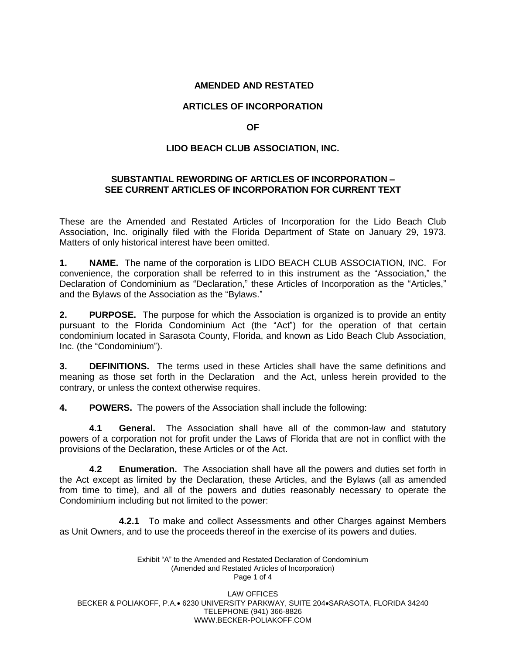### **AMENDED AND RESTATED**

# **ARTICLES OF INCORPORATION**

### **OF**

# **LIDO BEACH CLUB ASSOCIATION, INC.**

### **SUBSTANTIAL REWORDING OF ARTICLES OF INCORPORATION – SEE CURRENT ARTICLES OF INCORPORATION FOR CURRENT TEXT**

These are the Amended and Restated Articles of Incorporation for the Lido Beach Club Association, Inc. originally filed with the Florida Department of State on January 29, 1973. Matters of only historical interest have been omitted.

**1. NAME.** The name of the corporation is LIDO BEACH CLUB ASSOCIATION, INC. For convenience, the corporation shall be referred to in this instrument as the "Association," the Declaration of Condominium as "Declaration," these Articles of Incorporation as the "Articles," and the Bylaws of the Association as the "Bylaws."

**2. PURPOSE.** The purpose for which the Association is organized is to provide an entity pursuant to the Florida Condominium Act (the "Act") for the operation of that certain condominium located in Sarasota County, Florida, and known as Lido Beach Club Association, Inc. (the "Condominium").

**3. DEFINITIONS.** The terms used in these Articles shall have the same definitions and meaning as those set forth in the Declaration and the Act, unless herein provided to the contrary, or unless the context otherwise requires.

**4. POWERS.** The powers of the Association shall include the following:

**4.1 General.** The Association shall have all of the common-law and statutory powers of a corporation not for profit under the Laws of Florida that are not in conflict with the provisions of the Declaration, these Articles or of the Act.

**4.2 Enumeration.** The Association shall have all the powers and duties set forth in the Act except as limited by the Declaration, these Articles, and the Bylaws (all as amended from time to time), and all of the powers and duties reasonably necessary to operate the Condominium including but not limited to the power:

**4.2.1** To make and collect Assessments and other Charges against Members as Unit Owners, and to use the proceeds thereof in the exercise of its powers and duties.

> Exhibit "A" to the Amended and Restated Declaration of Condominium (Amended and Restated Articles of Incorporation) Page 1 of 4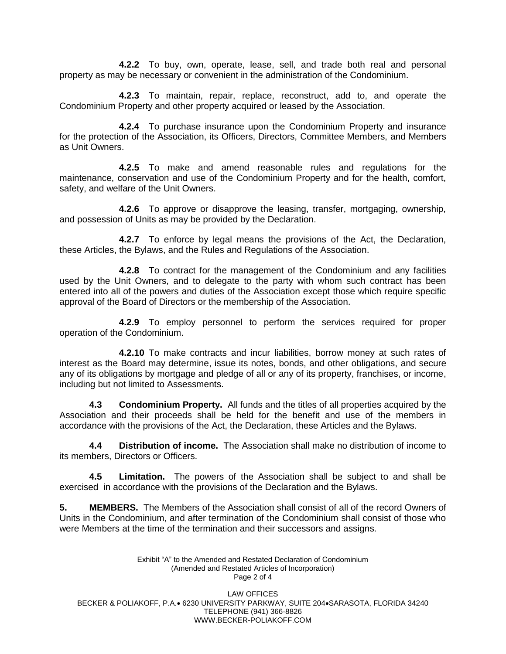**4.2.2** To buy, own, operate, lease, sell, and trade both real and personal property as may be necessary or convenient in the administration of the Condominium.

**4.2.3** To maintain, repair, replace, reconstruct, add to, and operate the Condominium Property and other property acquired or leased by the Association.

**4.2.4** To purchase insurance upon the Condominium Property and insurance for the protection of the Association, its Officers, Directors, Committee Members, and Members as Unit Owners.

**4.2.5** To make and amend reasonable rules and regulations for the maintenance, conservation and use of the Condominium Property and for the health, comfort, safety, and welfare of the Unit Owners.

**4.2.6** To approve or disapprove the leasing, transfer, mortgaging, ownership, and possession of Units as may be provided by the Declaration.

**4.2.7** To enforce by legal means the provisions of the Act, the Declaration, these Articles, the Bylaws, and the Rules and Regulations of the Association.

**4.2.8** To contract for the management of the Condominium and any facilities used by the Unit Owners, and to delegate to the party with whom such contract has been entered into all of the powers and duties of the Association except those which require specific approval of the Board of Directors or the membership of the Association.

**4.2.9** To employ personnel to perform the services required for proper operation of the Condominium.

**4.2.10** To make contracts and incur liabilities, borrow money at such rates of interest as the Board may determine, issue its notes, bonds, and other obligations, and secure any of its obligations by mortgage and pledge of all or any of its property, franchises, or income, including but not limited to Assessments.

**4.3 Condominium Property.** All funds and the titles of all properties acquired by the Association and their proceeds shall be held for the benefit and use of the members in accordance with the provisions of the Act, the Declaration, these Articles and the Bylaws.

**4.4 Distribution of income.** The Association shall make no distribution of income to its members, Directors or Officers.

**4.5 Limitation.** The powers of the Association shall be subject to and shall be exercised in accordance with the provisions of the Declaration and the Bylaws.

**5. MEMBERS.** The Members of the Association shall consist of all of the record Owners of Units in the Condominium, and after termination of the Condominium shall consist of those who were Members at the time of the termination and their successors and assigns.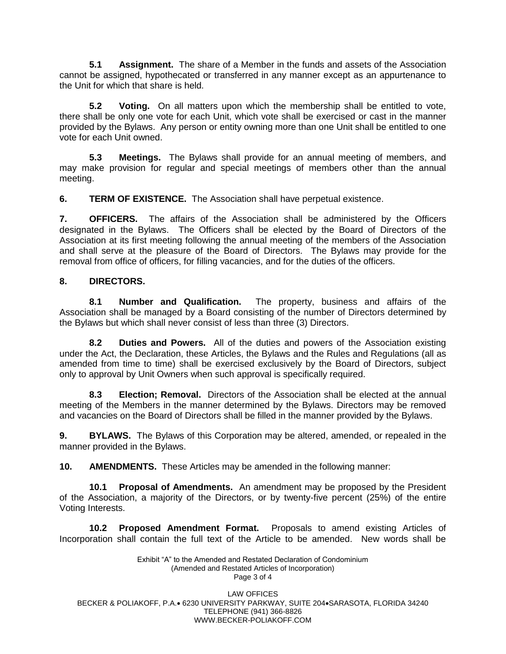**5.1 Assignment.** The share of a Member in the funds and assets of the Association cannot be assigned, hypothecated or transferred in any manner except as an appurtenance to the Unit for which that share is held.

**5.2 Voting.** On all matters upon which the membership shall be entitled to vote, there shall be only one vote for each Unit, which vote shall be exercised or cast in the manner provided by the Bylaws. Any person or entity owning more than one Unit shall be entitled to one vote for each Unit owned.

**5.3 Meetings.** The Bylaws shall provide for an annual meeting of members, and may make provision for regular and special meetings of members other than the annual meeting.

**6. TERM OF EXISTENCE.** The Association shall have perpetual existence.

**7. OFFICERS.** The affairs of the Association shall be administered by the Officers designated in the Bylaws. The Officers shall be elected by the Board of Directors of the Association at its first meeting following the annual meeting of the members of the Association and shall serve at the pleasure of the Board of Directors. The Bylaws may provide for the removal from office of officers, for filling vacancies, and for the duties of the officers.

# **8. DIRECTORS.**

**8.1 Number and Qualification.** The property, business and affairs of the Association shall be managed by a Board consisting of the number of Directors determined by the Bylaws but which shall never consist of less than three (3) Directors.

**8.2 Duties and Powers.** All of the duties and powers of the Association existing under the Act, the Declaration, these Articles, the Bylaws and the Rules and Regulations (all as amended from time to time) shall be exercised exclusively by the Board of Directors, subject only to approval by Unit Owners when such approval is specifically required.

**8.3 Election; Removal.** Directors of the Association shall be elected at the annual meeting of the Members in the manner determined by the Bylaws. Directors may be removed and vacancies on the Board of Directors shall be filled in the manner provided by the Bylaws.

**9. BYLAWS.** The Bylaws of this Corporation may be altered, amended, or repealed in the manner provided in the Bylaws.

**10. AMENDMENTS.** These Articles may be amended in the following manner:

**10.1 Proposal of Amendments.** An amendment may be proposed by the President of the Association, a majority of the Directors, or by twenty-five percent (25%) of the entire Voting Interests.

**10.2 Proposed Amendment Format.** Proposals to amend existing Articles of Incorporation shall contain the full text of the Article to be amended. New words shall be

> Exhibit "A" to the Amended and Restated Declaration of Condominium (Amended and Restated Articles of Incorporation) Page 3 of 4